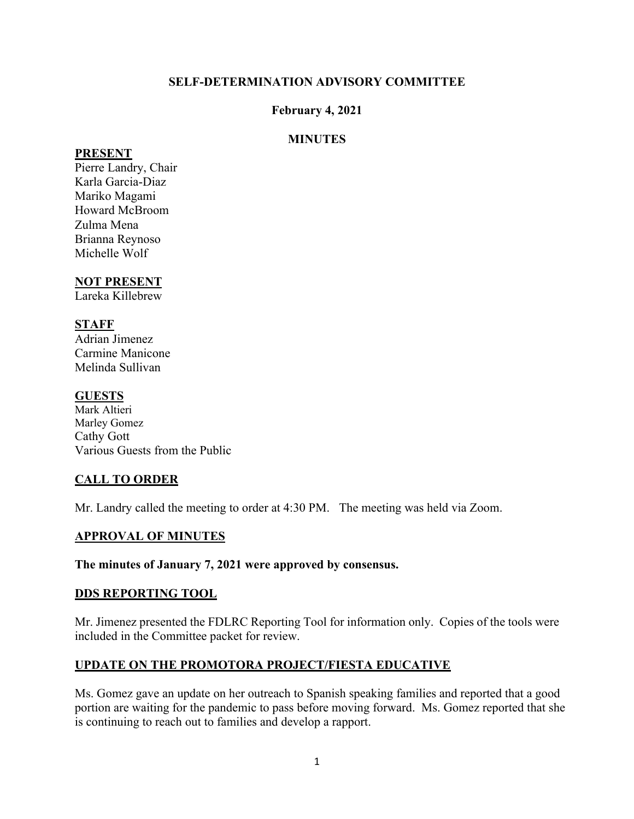# **SELF-DETERMINATION ADVISORY COMMITTEE**

# **February 4, 2021**

# **MINUTES**

#### **PRESENT**

Pierre Landry, Chair Karla Garcia-Diaz Mariko Magami Howard McBroom Zulma Mena Brianna Reynoso Michelle Wolf

# **NOT PRESENT**

Lareka Killebrew

# **STAFF**

Adrian Jimenez Carmine Manicone Melinda Sullivan

# **GUESTS**

Mark Altieri Marley Gomez Cathy Gott Various Guests from the Public

# **CALL TO ORDER**

Mr. Landry called the meeting to order at 4:30 PM. The meeting was held via Zoom.

# **APPROVAL OF MINUTES**

**The minutes of January 7, 2021 were approved by consensus.** 

# **DDS REPORTING TOOL**

Mr. Jimenez presented the FDLRC Reporting Tool for information only. Copies of the tools were included in the Committee packet for review.

# **UPDATE ON THE PROMOTORA PROJECT/FIESTA EDUCATIVE**

Ms. Gomez gave an update on her outreach to Spanish speaking families and reported that a good portion are waiting for the pandemic to pass before moving forward. Ms. Gomez reported that she is continuing to reach out to families and develop a rapport.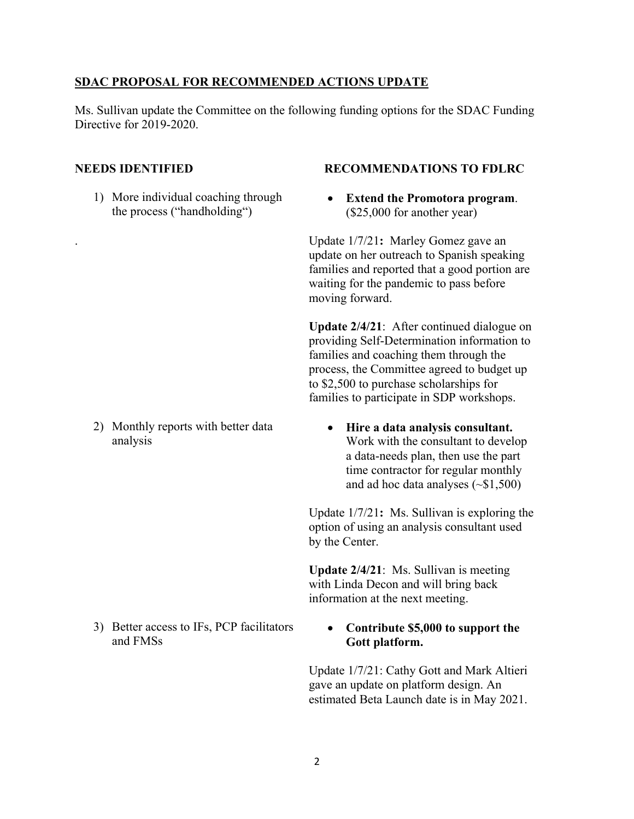#### **SDAC PROPOSAL FOR RECOMMENDED ACTIONS UPDATE**

Ms. Sullivan update the Committee on the following funding options for the SDAC Funding Directive for 2019-2020.

1) More individual coaching through the process ("handholding")

2) Monthly reports with better data analysis

3) Better access to IFs, PCP facilitators and FMSs

#### **NEEDS IDENTIFIED RECOMMENDATIONS TO FDLRC**

• **Extend the Promotora program**. (\$25,000 for another year)

. Update 1/7/21**:** Marley Gomez gave an update on her outreach to Spanish speaking families and reported that a good portion are waiting for the pandemic to pass before moving forward.

**Update 2/4/21**: After continued dialogue on providing Self-Determination information to families and coaching them through the process, the Committee agreed to budget up to \$2,500 to purchase scholarships for families to participate in SDP workshops.

• **Hire a data analysis consultant.**  Work with the consultant to develop a data-needs plan, then use the part time contractor for regular monthly and ad hoc data analyses (~\$1,500)

Update 1/7/21**:** Ms. Sullivan is exploring the option of using an analysis consultant used by the Center.

**Update 2/4/21**: Ms. Sullivan is meeting with Linda Decon and will bring back information at the next meeting.

#### • **Contribute \$5,000 to support the Gott platform.**

Update 1/7/21: Cathy Gott and Mark Altieri gave an update on platform design. An estimated Beta Launch date is in May 2021.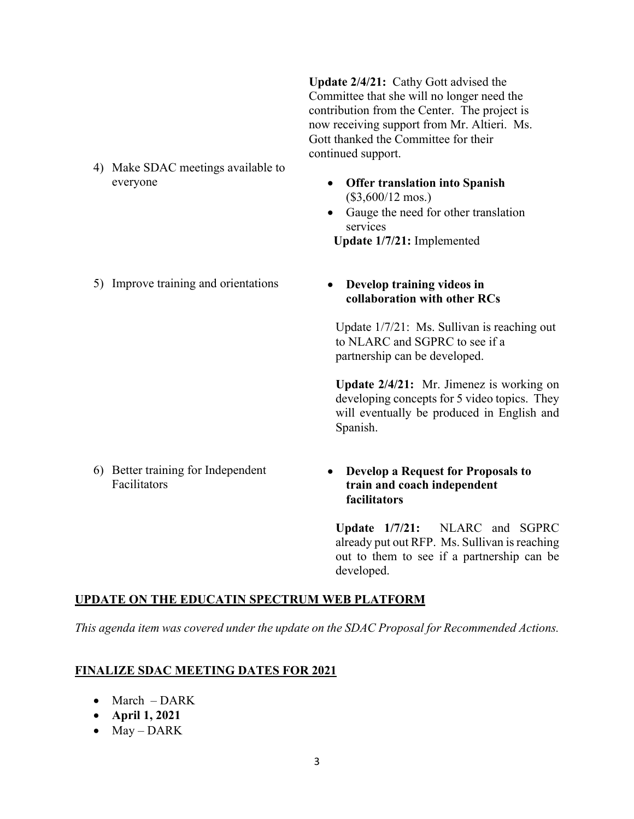**Update 2/4/21:** Cathy Gott advised the Committee that she will no longer need the contribution from the Center. The project is now receiving support from Mr. Altieri. Ms. Gott thanked the Committee for their continued support.

- 4) Make SDAC meetings available to everyone
- **Offer translation into Spanish**  (\$3,600/12 mos.)
- Gauge the need for other translation services

 **Update 1/7/21:** Implemented

5) Improve training and orientations • **Develop training videos in** 

# **collaboration with other RCs**

Update 1/7/21: Ms. Sullivan is reaching out to NLARC and SGPRC to see if a partnership can be developed.

**Update 2/4/21:** Mr. Jimenez is working on developing concepts for 5 video topics. They will eventually be produced in English and Spanish.

6) Better training for Independent Facilitators

# • **Develop a Request for Proposals to train and coach independent facilitators**

**Update 1/7/21:** NLARC and SGPRC already put out RFP. Ms. Sullivan is reaching out to them to see if a partnership can be developed.

# **UPDATE ON THE EDUCATIN SPECTRUM WEB PLATFORM**

*This agenda item was covered under the update on the SDAC Proposal for Recommended Actions.* 

# **FINALIZE SDAC MEETING DATES FOR 2021**

- March DARK
- **April 1, 2021**
- May DARK